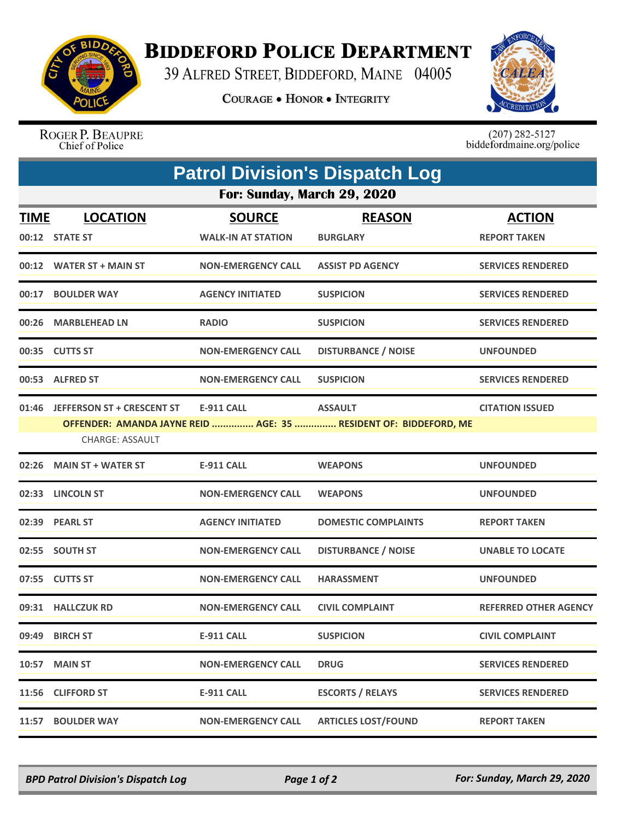

## **BIDDEFORD POLICE DEPARTMENT**

39 ALFRED STREET, BIDDEFORD, MAINE 04005

**COURAGE . HONOR . INTEGRITY** 



ROGER P. BEAUPRE Chief of Police

 $(207)$  282-5127<br>biddefordmaine.org/police

|                             | <b>Patrol Division's Dispatch Log</b>                       |                           |                                                                                    |                              |  |  |  |  |
|-----------------------------|-------------------------------------------------------------|---------------------------|------------------------------------------------------------------------------------|------------------------------|--|--|--|--|
| For: Sunday, March 29, 2020 |                                                             |                           |                                                                                    |                              |  |  |  |  |
| <b>TIME</b>                 | <b>LOCATION</b>                                             | <b>SOURCE</b>             | <b>REASON</b>                                                                      | <b>ACTION</b>                |  |  |  |  |
|                             | 00:12 STATE ST                                              | <b>WALK-IN AT STATION</b> | <b>BURGLARY</b>                                                                    | <b>REPORT TAKEN</b>          |  |  |  |  |
|                             | 00:12 WATER ST + MAIN ST                                    | <b>NON-EMERGENCY CALL</b> | <b>ASSIST PD AGENCY</b>                                                            | <b>SERVICES RENDERED</b>     |  |  |  |  |
|                             | 00:17 BOULDER WAY                                           | <b>AGENCY INITIATED</b>   | <b>SUSPICION</b>                                                                   | <b>SERVICES RENDERED</b>     |  |  |  |  |
|                             | 00:26 MARBLEHEAD LN                                         | <b>RADIO</b>              | <b>SUSPICION</b>                                                                   | <b>SERVICES RENDERED</b>     |  |  |  |  |
|                             | 00:35 CUTTS ST                                              | <b>NON-EMERGENCY CALL</b> | <b>DISTURBANCE / NOISE</b>                                                         | <b>UNFOUNDED</b>             |  |  |  |  |
|                             | 00:53 ALFRED ST                                             | <b>NON-EMERGENCY CALL</b> | <b>SUSPICION</b>                                                                   | <b>SERVICES RENDERED</b>     |  |  |  |  |
| 01:46                       | <b>JEFFERSON ST + CRESCENT ST</b><br><b>CHARGE: ASSAULT</b> | <b>E-911 CALL</b>         | <b>ASSAULT</b><br>OFFENDER: AMANDA JAYNE REID  AGE: 35  RESIDENT OF: BIDDEFORD, ME | <b>CITATION ISSUED</b>       |  |  |  |  |
|                             | 02:26 MAIN ST + WATER ST                                    | <b>E-911 CALL</b>         | <b>WEAPONS</b>                                                                     | <b>UNFOUNDED</b>             |  |  |  |  |
|                             | 02:33 LINCOLN ST                                            | <b>NON-EMERGENCY CALL</b> | <b>WEAPONS</b>                                                                     | <b>UNFOUNDED</b>             |  |  |  |  |
|                             | 02:39 PEARL ST                                              | <b>AGENCY INITIATED</b>   | <b>DOMESTIC COMPLAINTS</b>                                                         | <b>REPORT TAKEN</b>          |  |  |  |  |
|                             | 02:55 SOUTH ST                                              | <b>NON-EMERGENCY CALL</b> | <b>DISTURBANCE / NOISE</b>                                                         | <b>UNABLE TO LOCATE</b>      |  |  |  |  |
|                             | 07:55 CUTTS ST                                              | <b>NON-EMERGENCY CALL</b> | <b>HARASSMENT</b>                                                                  | <b>UNFOUNDED</b>             |  |  |  |  |
|                             | 09:31 HALLCZUK RD                                           | <b>NON-EMERGENCY CALL</b> | <b>CIVIL COMPLAINT</b>                                                             | <b>REFERRED OTHER AGENCY</b> |  |  |  |  |
|                             | 09:49 BIRCH ST                                              | <b>E-911 CALL</b>         | <b>SUSPICION</b>                                                                   | <b>CIVIL COMPLAINT</b>       |  |  |  |  |
| 10:57                       | <b>MAIN ST</b>                                              | <b>NON-EMERGENCY CALL</b> | <b>DRUG</b>                                                                        | <b>SERVICES RENDERED</b>     |  |  |  |  |
|                             | 11:56 CLIFFORD ST                                           | <b>E-911 CALL</b>         | <b>ESCORTS / RELAYS</b>                                                            | <b>SERVICES RENDERED</b>     |  |  |  |  |
| 11:57                       | <b>BOULDER WAY</b>                                          | <b>NON-EMERGENCY CALL</b> | <b>ARTICLES LOST/FOUND</b>                                                         | <b>REPORT TAKEN</b>          |  |  |  |  |